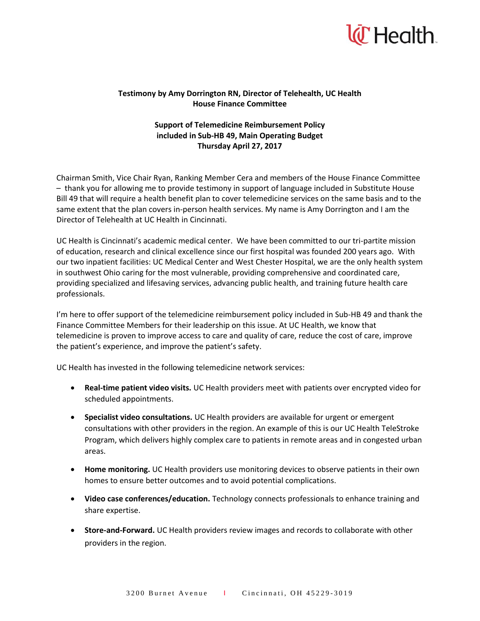

## **Testimony by Amy Dorrington RN, Director of Telehealth, UC Health House Finance Committee**

## **Support of Telemedicine Reimbursement Policy included in Sub-HB 49, Main Operating Budget Thursday April 27, 2017**

Chairman Smith, Vice Chair Ryan, Ranking Member Cera and members of the House Finance Committee – thank you for allowing me to provide testimony in support of language included in Substitute House Bill 49 that will require a health benefit plan to cover telemedicine services on the same basis and to the same extent that the plan covers in-person health services. My name is Amy Dorrington and I am the Director of Telehealth at UC Health in Cincinnati.

UC Health is Cincinnati's academic medical center. We have been committed to our tri-partite mission of education, research and clinical excellence since our first hospital was founded 200 years ago. With our two inpatient facilities: UC Medical Center and West Chester Hospital, we are the only health system in southwest Ohio caring for the most vulnerable, providing comprehensive and coordinated care, providing specialized and lifesaving services, advancing public health, and training future health care professionals.

I'm here to offer support of the telemedicine reimbursement policy included in Sub-HB 49 and thank the Finance Committee Members for their leadership on this issue. At UC Health, we know that telemedicine is proven to improve access to care and quality of care, reduce the cost of care, improve the patient's experience, and improve the patient's safety.

UC Health has invested in the following telemedicine network services:

- **Real-time patient video visits.** UC Health providers meet with patients over encrypted video for scheduled appointments.
- **Specialist video consultations.** UC Health providers are available for urgent or emergent consultations with other providers in the region. An example of this is our UC Health TeleStroke Program, which delivers highly complex care to patients in remote areas and in congested urban areas.
- **Home monitoring.** UC Health providers use monitoring devices to observe patients in their own homes to ensure better outcomes and to avoid potential complications.
- **Video case conferences/education.** Technology connects professionals to enhance training and share expertise.
- **Store-and-Forward.** UC Health providers review images and records to collaborate with other providers in the region.